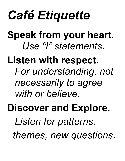# *Café Etiquette*

**Speak from your heart.** *Use "I" statements***.**

**Listen with respect.**  *For understanding, not necessarily to agree with or believe.* 

**Discover and Explore.** 

*Listen for patterns,* 

 *themes, new questions.*